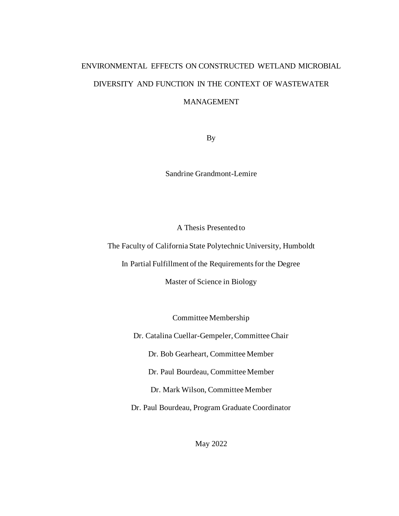# ENVIRONMENTAL EFFECTS ON CONSTRUCTED WETLAND MICROBIAL DIVERSITY AND FUNCTION IN THE CONTEXT OF WASTEWATER MANAGEMENT

By

Sandrine Grandmont-Lemire

A Thesis Presented to

The Faculty of California State Polytechnic University, Humboldt

In Partial Fulfillment of the Requirements for the Degree

Master of Science in Biology

Committee Membership

Dr. Catalina Cuellar-Gempeler, Committee Chair

Dr. Bob Gearheart, Committee Member

Dr. Paul Bourdeau, Committee Member

Dr. Mark Wilson, Committee Member

Dr. Paul Bourdeau, Program Graduate Coordinator

May 2022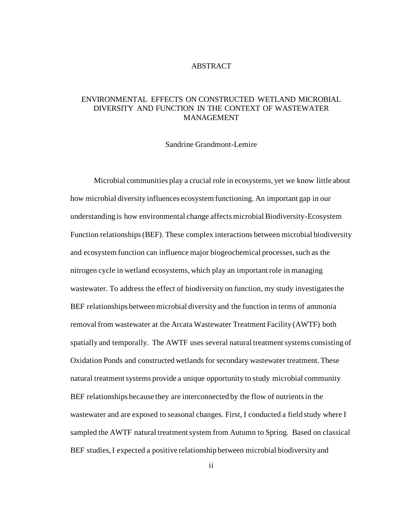#### ABSTRACT

# <span id="page-1-0"></span>ENVIRONMENTAL EFFECTS ON CONSTRUCTED WETLAND MICROBIAL DIVERSITY AND FUNCTION IN THE CONTEXT OF WASTEWATER MANAGEMENT

Sandrine Grandmont-Lemire

Microbial communities play a crucial role in ecosystems, yet we know little about how microbial diversity influences ecosystem functioning. An important gap in our understanding is how environmental change affects microbial Biodiversity-Ecosystem Function relationships (BEF). These complex interactions between microbial biodiversity and ecosystem function can influence major biogeochemical processes, such as the nitrogen cycle in wetland ecosystems, which play an important role in managing wastewater. To address the effect of biodiversity on function, my study investigates the BEF relationships between microbial diversity and the function in terms of ammonia removal from wastewater at the Arcata Wastewater Treatment Facility (AWTF) both spatially and temporally. The AWTF uses several natural treatment systems consisting of Oxidation Ponds and constructed wetlands for secondary wastewater treatment. These natural treatment systems provide a unique opportunity to study microbial community BEF relationships because they are interconnected by the flow of nutrients in the wastewater and are exposed to seasonal changes. First, I conducted a field study where I sampled the AWTF natural treatment system from Autumn to Spring. Based on classical BEF studies, I expected a positive relationship between microbial biodiversity and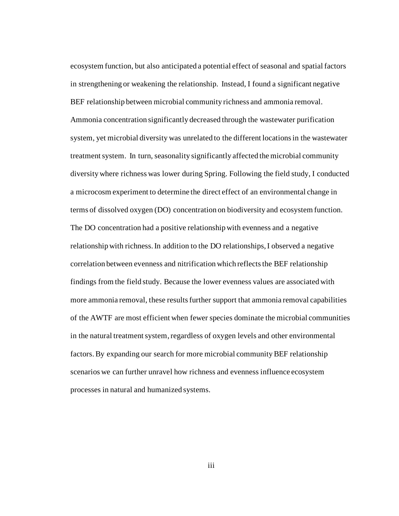ecosystem function, but also anticipated a potential effect of seasonal and spatial factors in strengthening or weakening the relationship. Instead, I found a significant negative BEF relationship between microbial community richness and ammonia removal. Ammonia concentration significantly decreased through the wastewater purification system, yet microbial diversity was unrelated to the different locations in the wastewater treatment system. In turn, seasonality significantly affected the microbial community diversity where richness was lower during Spring. Following the field study, I conducted a microcosm experiment to determine the direct effect of an environmental change in terms of dissolved oxygen (DO) concentration on biodiversity and ecosystem function. The DO concentration had a positive relationship with evenness and a negative relationship with richness. In addition to the DO relationships, I observed a negative correlation between evenness and nitrification which reflects the BEF relationship findings from the field study. Because the lower evenness values are associated with more ammonia removal, these results further support that ammonia removal capabilities of the AWTF are most efficient when fewer species dominate the microbial communities in the natural treatment system, regardless of oxygen levels and other environmental factors. By expanding our search for more microbial community BEF relationship scenarios we can further unravel how richness and evenness influence ecosystem processes in natural and humanized systems.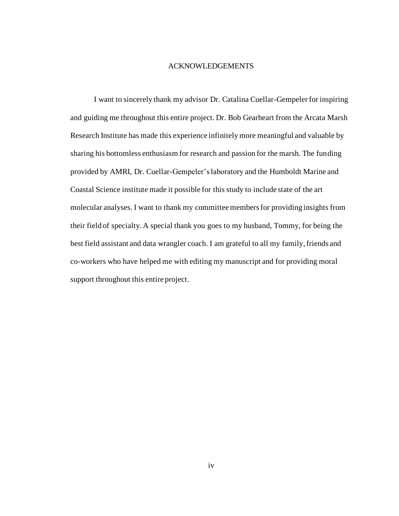#### ACKNOWLEDGEMENTS

<span id="page-3-0"></span>I want to sincerely thank my advisor Dr. Catalina Cuellar-Gempeler for inspiring and guiding me throughout this entire project. Dr. Bob Gearheart from the Arcata Marsh Research Institute has made this experience infinitely more meaningful and valuable by sharing his bottomless enthusiasm for research and passion for the marsh. The funding provided by AMRI, Dr. Cuellar-Gempeler's laboratory and the Humboldt Marine and Coastal Science institute made it possible for this study to include state of the art molecular analyses. I want to thank my committee members for providing insights from their field of specialty. A special thank you goes to my husband, Tommy, for being the best field assistant and data wrangler coach. I am grateful to all my family, friends and co-workers who have helped me with editing my manuscript and for providing moral support throughout this entire project.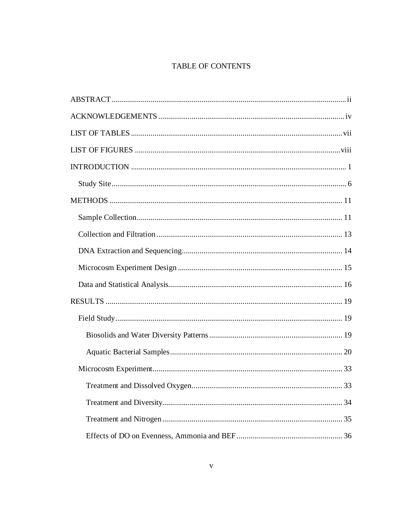# TABLE OF CONTENTS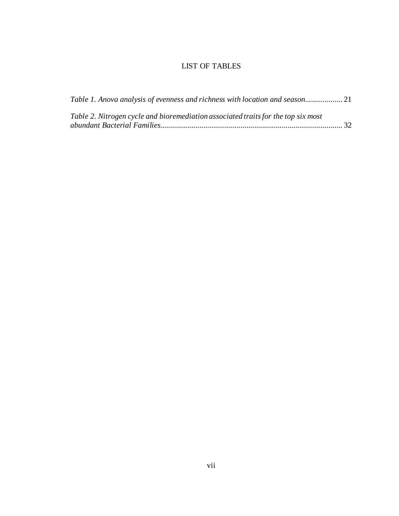# LIST OF TABLES

<span id="page-6-0"></span>

| Table 1. Anova analysis of evenness and richness with location and season         |  |
|-----------------------------------------------------------------------------------|--|
| Table 2. Nitrogen cycle and bioremediation associated traits for the top six most |  |
|                                                                                   |  |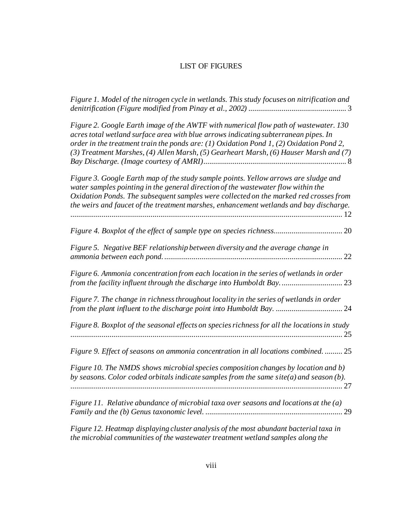# LIST OF FIGURES

<span id="page-7-0"></span>*[Figure 1. Model of the nitrogen cycle in wetlands. This study focuses on nitrification](file:///C:/Users/sglem/OneDrive/Documents/Marsh%20project/Thesis/Final%20thesis/Thesis_sp2022%5bSandrine_Grandmont-Lemire%5d.docx%23_Toc99461046) and [denitrification \(Figure modified from Pinay et al., 2002\)](file:///C:/Users/sglem/OneDrive/Documents/Marsh%20project/Thesis/Final%20thesis/Thesis_sp2022%5bSandrine_Grandmont-Lemire%5d.docx%23_Toc99461046)* .................................................. 3

| Figure 2. Google Earth image of the AWTF with numerical flow path of wastewater. 130<br>acres total wetland surface area with blue arrows indicating subterranean pipes. In<br>order in the treatment train the ponds are: (1) Oxidation Pond 1, (2) Oxidation Pond 2,<br>(3) Treatment Marshes, (4) Allen Marsh, (5) Gearheart Marsh, (6) Hauser Marsh and (7) |
|-----------------------------------------------------------------------------------------------------------------------------------------------------------------------------------------------------------------------------------------------------------------------------------------------------------------------------------------------------------------|
| Figure 3. Google Earth map of the study sample points. Yellow arrows are sludge and<br>water samples pointing in the general direction of the wastewater flow within the<br>Oxidation Ponds. The subsequent samples were collected on the marked red crosses from<br>the weirs and faucet of the treatment marshes, enhancement wetlands and bay discharge.     |
|                                                                                                                                                                                                                                                                                                                                                                 |
| Figure 5. Negative BEF relationship between diversity and the average change in<br>22                                                                                                                                                                                                                                                                           |
| Figure 6. Ammonia concentration from each location in the series of wetlands in order<br>from the facility influent through the discharge into Humboldt Bay 23                                                                                                                                                                                                  |
| Figure 7. The change in richness throughout locality in the series of wetlands in order                                                                                                                                                                                                                                                                         |
| Figure 8. Boxplot of the seasonal effects on species richness for all the locations in study<br>25                                                                                                                                                                                                                                                              |
| Figure 9. Effect of seasons on ammonia concentration in all locations combined.  25                                                                                                                                                                                                                                                                             |
| Figure 10. The NMDS shows microbial species composition changes by location and b)<br>by seasons. Color coded orbitals indicate samples from the same site( $a$ ) and season ( $b$ ).                                                                                                                                                                           |
| Figure 11. Relative abundance of microbial taxa over seasons and locations at the (a)<br>29                                                                                                                                                                                                                                                                     |
|                                                                                                                                                                                                                                                                                                                                                                 |

*[Figure 12. Heatmap displaying cluster analysis of the most abundant bacterial taxa in](file:///C:/Users/sglem/OneDrive/Documents/Marsh%20project/Thesis/Final%20thesis/Thesis_sp2022%5bSandrine_Grandmont-Lemire%5d.docx%23_Toc99461057)  [the microbial communities of the wastewater treatment wetland samples along the](file:///C:/Users/sglem/OneDrive/Documents/Marsh%20project/Thesis/Final%20thesis/Thesis_sp2022%5bSandrine_Grandmont-Lemire%5d.docx%23_Toc99461057)*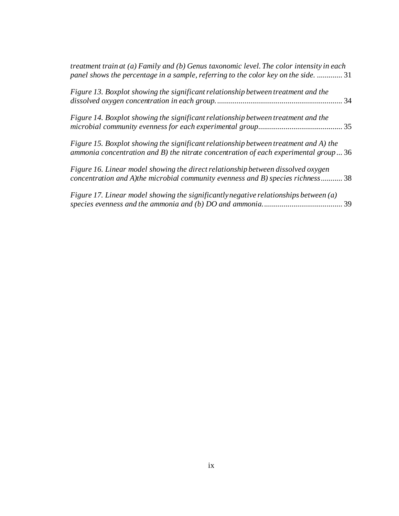| treatment train at $(a)$ Family and $(b)$ Genus taxonomic level. The color intensity in each<br>panel shows the percentage in a sample, referring to the color key on the side.  31   |  |
|---------------------------------------------------------------------------------------------------------------------------------------------------------------------------------------|--|
| Figure 13. Boxplot showing the significant relationship between treatment and the<br>34                                                                                               |  |
| Figure 14. Boxplot showing the significant relationship between treatment and the                                                                                                     |  |
| Figure 15. Boxplot showing the significant relationship between treatment and A) the<br>ammonia concentration and B) the nitrate concentration of each experimental group $\ldots$ 36 |  |
| Figure 16. Linear model showing the direct relationship between dissolved oxygen<br>concentration and A) the microbial community evenness and B) species richness 38                  |  |
| Figure 17. Linear model showing the significantly negative relationships between (a)                                                                                                  |  |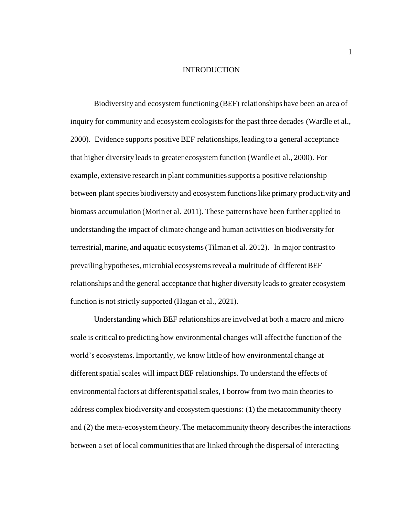#### INTRODUCTION

<span id="page-9-0"></span>Biodiversity and ecosystem functioning (BEF) relationships have been an area of inquiry for community and ecosystem ecologists for the past three decades (Wardle et al., 2000). Evidence supports positive BEF relationships, leading to a general acceptance that higher diversity leads to greater ecosystem function (Wardle et al., 2000). For example, extensive research in plant communities supports a positive relationship between plant species biodiversity and ecosystem functions like primary productivity and biomass accumulation (Morin et al. 2011). These patterns have been further applied to understanding the impact of climate change and human activities on biodiversity for terrestrial, marine, and aquatic ecosystems (Tilman et al. 2012). In major contrast to prevailing hypotheses, microbial ecosystems reveal a multitude of different BEF relationships and the general acceptance that higher diversity leads to greater ecosystem function is not strictly supported (Hagan et al., 2021).

Understanding which BEF relationships are involved at both a macro and micro scale is critical to predicting how environmental changes will affect the function of the world's ecosystems.Importantly, we know little of how environmental change at different spatial scales will impact BEF relationships. To understand the effects of environmental factors at different spatial scales, I borrow from two main theories to address complex biodiversity and ecosystem questions: (1) the metacommunity theory and (2) the meta-ecosystem theory. The metacommunity theory describes the interactions between a set of local communities that are linked through the dispersal of interacting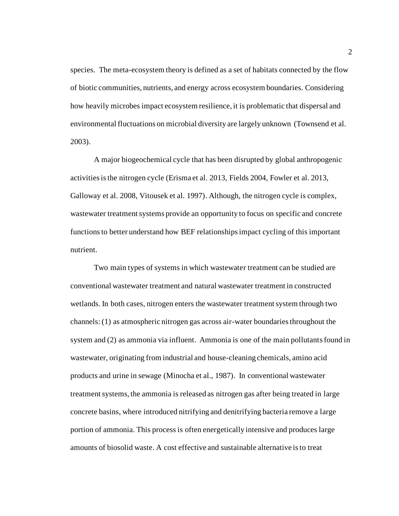species. The meta-ecosystem theory is defined as a set of habitats connected by the flow of biotic communities, nutrients, and energy across ecosystem boundaries. Considering how heavily microbes impact ecosystem resilience, it is problematic that dispersal and environmental fluctuations on microbial diversity are largely unknown (Townsend et al. 2003).

A major biogeochemical cycle that has been disrupted by global anthropogenic activities is the nitrogen cycle (Erisma et al. 2013, Fields 2004, Fowler et al. 2013, Galloway et al. 2008, Vitousek et al. 1997). Although, the nitrogen cycle is complex, wastewater treatment systems provide an opportunity to focus on specific and concrete functions to better understand how BEF relationships impact cycling of this important nutrient.

Two main types of systems in which wastewater treatment can be studied are conventional wastewater treatment and natural wastewater treatment in constructed wetlands. In both cases, nitrogen enters the wastewater treatment system through two channels: (1) as atmospheric nitrogen gas across air-water boundaries throughout the system and (2) as ammonia via influent. Ammonia is one of the main pollutants found in wastewater, originating from industrial and house-cleaning chemicals, amino acid products and urine in sewage (Minocha et al., 1987). In conventional wastewater treatment systems, the ammonia is released as nitrogen gas after being treated in large concrete basins, where introduced nitrifying and denitrifying bacteria remove a large portion of ammonia. This process is often energetically intensive and produces large amounts of biosolid waste. A cost effective and sustainable alternative is to treat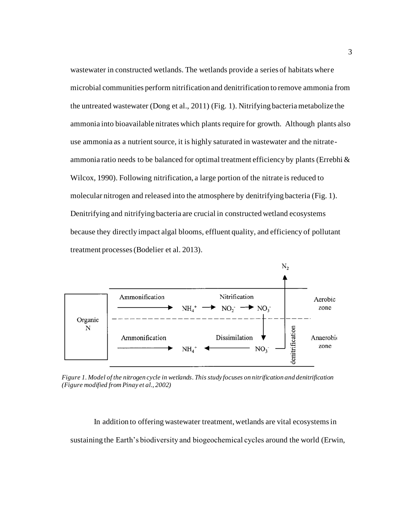wastewater in constructed wetlands. The wetlands provide a series of habitats where microbial communities perform nitrification and denitrification to remove ammonia from the untreated wastewater (Dong et al., 2011) (Fig. 1). Nitrifying bacteria metabolize the ammonia into bioavailable nitrates which plants require for growth. Although plants also use ammonia as a nutrient source, it is highly saturated in wastewater and the nitrateammonia ratio needs to be balanced for optimal treatment efficiency by plants (Errebhi  $\&$ Wilcox, 1990). Following nitrification, a large portion of the nitrate is reduced to molecular nitrogen and released into the atmosphere by denitrifying bacteria (Fig. 1). Denitrifying and nitrifying bacteria are crucial in constructed wetland ecosystems because they directly impact algal blooms, effluent quality, and efficiency of pollutant treatment processes (Bodelier et al. 2013).



*Figure 1. Model of the nitrogen cycle in wetlands. This study focuses on nitrification and denitrification (Figure modified from Pinay et al., 2002)*

In addition to offering wastewater treatment, wetlands are vital ecosystems in sustaining the Earth's biodiversity and biogeochemical cycles around the world (Erwin,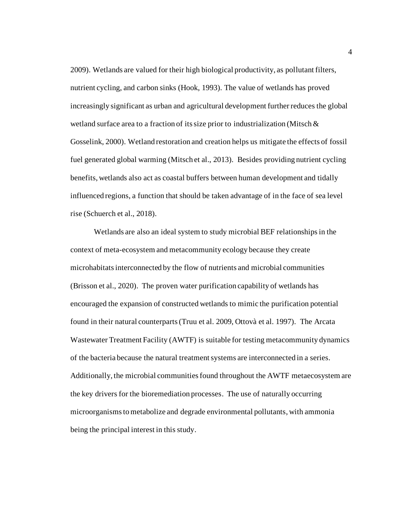2009). Wetlands are valued for their high biological productivity, as pollutant filters, nutrient cycling, and carbon sinks (Hook, 1993). The value of wetlands has proved increasingly significant as urban and agricultural development further reduces the global wetland surface area to a fraction of its size prior to industrialization (Mitsch & Gosselink, 2000). Wetland restoration and creation helps us mitigate the effects of fossil fuel generated global warming (Mitsch et al., 2013). Besides providing nutrient cycling benefits, wetlands also act as coastal buffers between human development and tidally influenced regions, a function that should be taken advantage of in the face of sea level rise (Schuerch et al., 2018).

Wetlands are also an ideal system to study microbial BEF relationshipsin the context of meta-ecosystem and metacommunity ecology because they create microhabitats interconnected by the flow of nutrients and microbial communities (Brisson et al., 2020). The proven water purification capability of wetlands has encouraged the expansion of constructed wetlands to mimic the purification potential found in their natural counterparts (Truu et al. 2009, Ottovà et al. 1997). The Arcata Wastewater Treatment Facility (AWTF) is suitable for testing metacommunity dynamics of the bacteria because the natural treatment systems are interconnected in a series. Additionally, the microbial communities found throughout the AWTF metaecosystem are the key drivers for the bioremediation processes. The use of naturally occurring microorganisms to metabolize and degrade environmental pollutants, with ammonia being the principal interest in this study.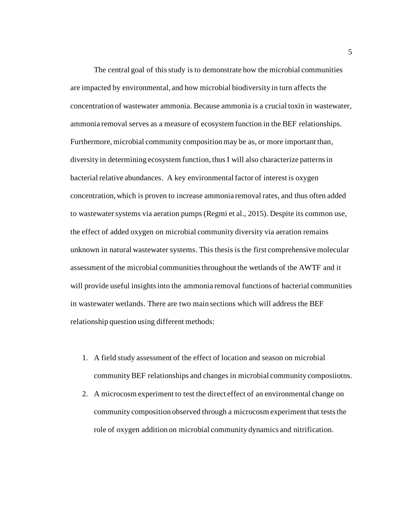The central goal of this study is to demonstrate how the microbial communities are impacted by environmental, and how microbial biodiversity in turn affects the concentration of wastewater ammonia. Because ammonia is a crucial toxin in wastewater, ammonia removal serves as a measure of ecosystem function in the BEF relationships. Furthermore, microbial community composition may be as, or more important than, diversity in determining ecosystem function, thus I will also characterize patterns in bacterial relative abundances. A key environmental factor of interest is oxygen concentration, which is proven to increase ammonia removal rates, and thus often added to wastewater systems via aeration pumps (Regmi et al., 2015). Despite its common use, the effect of added oxygen on microbial community diversity via aeration remains unknown in natural wastewater systems. This thesis is the first comprehensive molecular assessment of the microbial communities throughout the wetlands of the AWTF and it will provide useful insights into the ammonia removal functions of bacterial communities in wastewater wetlands. There are two main sections which will address the BEF relationship question using different methods:

- 1. A field study assessment of the effect of location and season on microbial community BEF relationships and changes in microbial community composiiotns.
- 2. A microcosm experiment to test the direct effect of an environmental change on community composition observed through a microcosm experiment that tests the role of oxygen addition on microbial community dynamics and nitrification.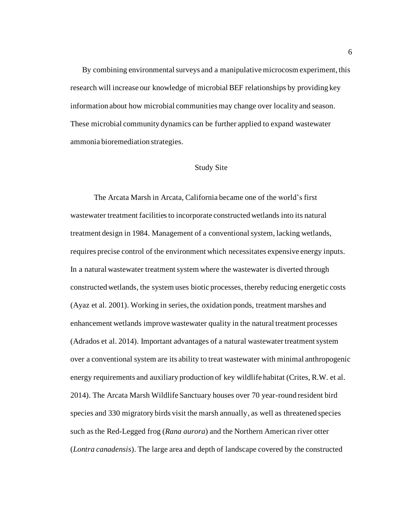By combining environmental surveys and a manipulative microcosm experiment, this research will increase our knowledge of microbial BEF relationships by providing key information about how microbial communities may change over locality and season. These microbial community dynamics can be further applied to expand wastewater ammonia bioremediation strategies.

#### Study Site

<span id="page-14-0"></span>The Arcata Marsh in Arcata, California became one of the world's first wastewater treatment facilitiesto incorporate constructed wetlands into its natural treatment design in 1984. Management of a conventional system, lacking wetlands, requires precise control of the environment which necessitates expensive energy inputs. In a natural wastewater treatment system where the wastewater is diverted through constructed wetlands, the system uses biotic processes, thereby reducing energetic costs (Ayaz et al. 2001). Working in series, the oxidation ponds, treatment marshes and enhancement wetlands improve wastewater quality in the natural treatment processes (Adrados et al. 2014). Important advantages of a natural wastewater treatment system over a conventional system are its ability to treat wastewater with minimal anthropogenic energy requirements and auxiliary production of key wildlife habitat (Crites, R.W. et al. 2014). The Arcata Marsh Wildlife Sanctuary houses over 70 year-round resident bird species and 330 migratory birds visit the marsh annually, as well as threatened species such as the Red-Legged frog (*Rana aurora*) and the Northern American river otter (*Lontra canadensis*). The large area and depth of landscape covered by the constructed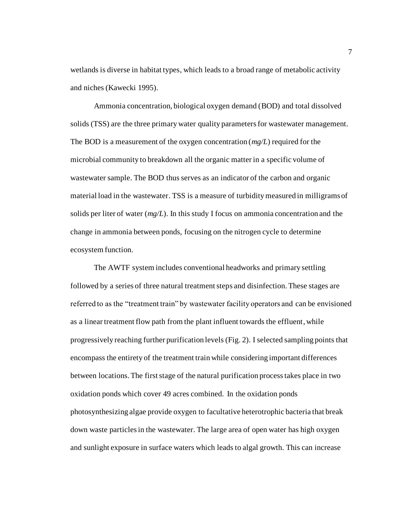wetlands is diverse in habitat types, which leads to a broad range of metabolic activity and niches (Kawecki 1995).

Ammonia concentration, biological oxygen demand (BOD) and total dissolved solids (TSS) are the three primary water quality parameters for wastewater management. The BOD is a measurement of the oxygen concentration (*mg/L*) required for the microbial community to breakdown all the organic matter in a specific volume of wastewater sample. The BOD thus serves as an indicator of the carbon and organic material load in the wastewater. TSS is a measure of turbidity measured in milligrams of solids per liter of water (*mg/L*). In this study I focus on ammonia concentration and the change in ammonia between ponds, focusing on the nitrogen cycle to determine ecosystem function.

The AWTF system includes conventional headworks and primary settling followed by a series of three natural treatment steps and disinfection. These stages are referred to as the "treatment train" by wastewater facility operators and can be envisioned as a linear treatment flow path from the plant influent towards the effluent, while progressively reaching further purification levels (Fig. 2). I selected sampling points that encompass the entirety of the treatment train while considering important differences between locations. The first stage of the natural purification process takes place in two oxidation ponds which cover 49 acres combined. In the oxidation ponds photosynthesizing algae provide oxygen to facultative heterotrophic bacteria that break down waste particles in the wastewater. The large area of open water has high oxygen and sunlight exposure in surface waters which leads to algal growth. This can increase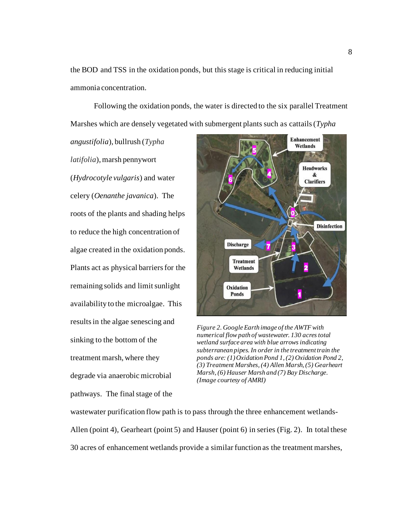the BOD and TSS in the oxidation ponds, but this stage is critical in reducing initial ammonia concentration.

Following the oxidation ponds, the water is directed to the six parallel Treatment Marshes which are densely vegetated with submergent plants such as cattails (*Typha* 

*angustifolia*), bullrush (*Typha latifolia*), marsh pennywort (*Hydrocotyle vulgaris*) and water celery (*Oenanthe javanica*). The roots of the plants and shading helps to reduce the high concentration of algae created in the oxidation ponds. Plants act as physical barriers for the remaining solids and limit sunlight availability to the microalgae. This results in the algae senescing and sinking to the bottom of the treatment marsh, where they degrade via anaerobic microbial pathways. The final stage of the



*Figure 2. Google Earth image of the AWTF with numerical flow path of wastewater. 130 acres total wetland surface area with blue arrows indicating subterranean pipes. In order in the treatment train the ponds are: (1) Oxidation Pond 1, (2) Oxidation Pond 2, (3) Treatment Marshes, (4) Allen Marsh, (5) Gearheart Marsh, (6) Hauser Marsh and (7) Bay Discharge. (Image courtesy of AMRI)*

wastewater purification flow path is to pass through the three enhancement wetlands-Allen (point 4), Gearheart (point 5) and Hauser (point 6) in series (Fig. 2). In total these 30 acres of enhancement wetlands provide a similar function as the treatment marshes,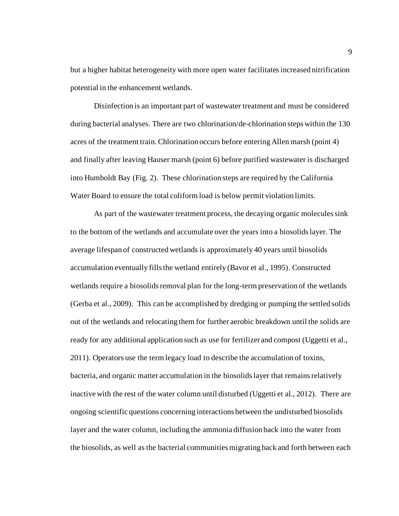but a higher habitat heterogeneity with more open water facilitates increased nitrification potential in the enhancement wetlands.

Disinfection is an important part of wastewater treatment and must be considered during bacterial analyses. There are two chlorination/de-chlorination steps within the 130 acres of the treatment train. Chlorination occurs before entering Allen marsh (point 4) and finally after leaving Hauser marsh (point 6) before purified wastewater is discharged into Humboldt Bay (Fig. 2). These chlorination steps are required by the California Water Board to ensure the total coliform load is below permit violation limits.

As part of the wastewater treatment process, the decaying organic molecules sink to the bottom of the wetlands and accumulate over the years into a biosolids layer. The average lifespan of constructed wetlands is approximately 40 years until biosolids accumulation eventually fills the wetland entirely (Bavor et al., 1995). Constructed wetlands require a biosolids removal plan for the long-term preservation of the wetlands (Gerba et al., 2009). This can be accomplished by dredging or pumping the settled solids out of the wetlands and relocating them for further aerobic breakdown until the solids are ready for any additional application such as use for fertilizer and compost (Uggetti et al., 2011). Operators use the term legacy load to describe the accumulation of toxins, bacteria, and organic matter accumulation in the biosolids layer that remains relatively inactive with the rest of the water column until disturbed (Uggetti et al., 2012). There are ongoing scientific questions concerning interactions between the undisturbed biosolids layer and the water column, including the ammonia diffusion back into the water from the biosolids, as well as the bacterial communities migrating back and forth between each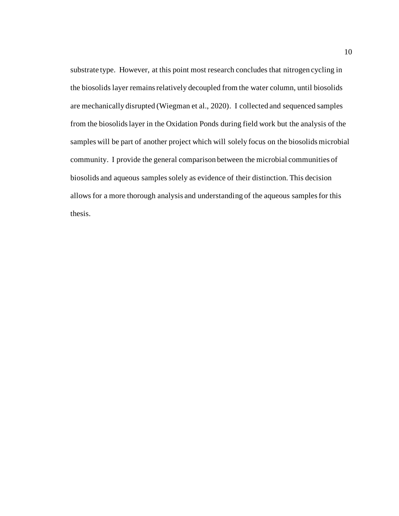substrate type. However, at this point most research concludes that nitrogen cycling in the biosolids layer remains relatively decoupled from the water column, until biosolids are mechanically disrupted (Wiegman et al., 2020). I collected and sequenced samples from the biosolids layer in the Oxidation Ponds during field work but the analysis of the samples will be part of another project which will solely focus on the biosolids microbial community. I provide the general comparison between the microbial communities of biosolids and aqueous samples solely as evidence of their distinction. This decision allows for a more thorough analysis and understanding of the aqueous samples for this thesis.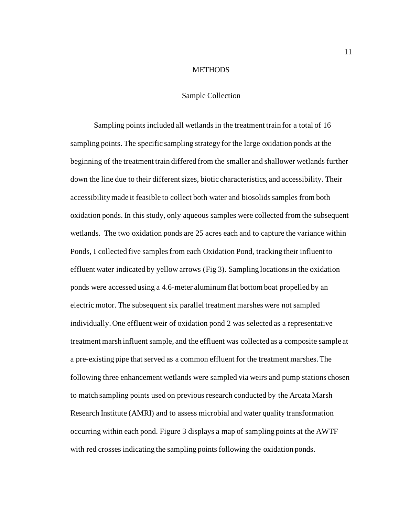#### **METHODS**

#### Sample Collection

<span id="page-19-1"></span><span id="page-19-0"></span>Sampling points included all wetlands in the treatment train for a total of 16 sampling points. The specific sampling strategy for the large oxidation ponds at the beginning of the treatment train differed from the smaller and shallower wetlands further down the line due to their different sizes, biotic characteristics, and accessibility. Their accessibility made it feasible to collect both water and biosolids samples from both oxidation ponds. In this study, only aqueous samples were collected from the subsequent wetlands. The two oxidation ponds are 25 acres each and to capture the variance within Ponds, I collected five samples from each Oxidation Pond, tracking their influent to effluent water indicated by yellow arrows (Fig 3). Sampling locations in the oxidation ponds were accessed using a 4.6-meter aluminum flat bottom boat propelled by an electric motor. The subsequent six parallel treatment marshes were not sampled individually. One effluent weir of oxidation pond 2 was selected as a representative treatment marsh influent sample, and the effluent was collected as a composite sample at a pre-existing pipe that served as a common effluent for the treatment marshes. The following three enhancement wetlands were sampled via weirs and pump stations chosen to match sampling points used on previous research conducted by the Arcata Marsh Research Institute (AMRI) and to assess microbial and water quality transformation occurring within each pond. Figure 3 displays a map of sampling points at the AWTF with red crosses indicating the sampling points following the oxidation ponds.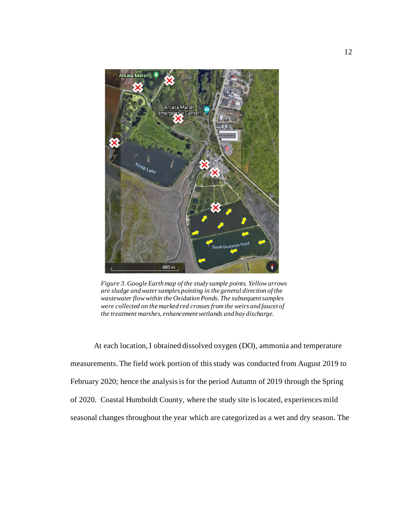

*Figure 3. Google Earth map of the study sample points. Yellow arrows are sludge and water samples pointing in the general direction of the wastewater flow within the Oxidation Ponds. The subsequent samples were collected on the marked red crosses from the weirs and faucet of the treatment marshes, enhancement wetlands and bay discharge.*

At each location, I obtained dissolved oxygen (DO), ammonia and temperature measurements. The field work portion of this study was conducted from August 2019 to February 2020; hence the analysis is for the period Autumn of 2019 through the Spring of 2020. Coastal Humboldt County, where the study site is located, experiences mild seasonal changes throughout the year which are categorized as a wet and dry season. The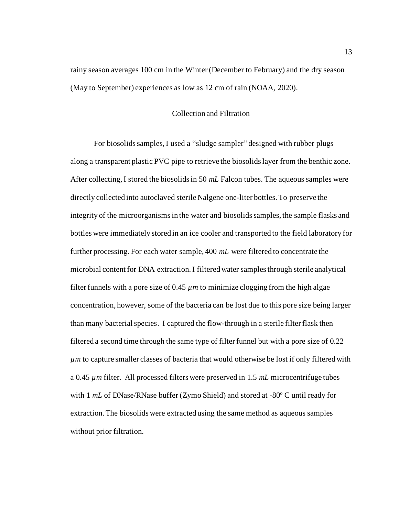<span id="page-21-0"></span>rainy season averages 100 cm in the Winter (December to February) and the dry season (May to September) experiences as low as 12 cm of rain (NOAA, 2020).

#### Collection and Filtration

For biosolids samples, I used a "sludge sampler" designed with rubber plugs along a transparent plastic PVC pipe to retrieve the biosolids layer from the benthic zone. After collecting, I stored the biosolids in 50 *mL* Falcon tubes. The aqueous samples were directly collected into autoclaved sterile Nalgene one-liter bottles. To preserve the integrity of the microorganisms in the water and biosolidssamples, the sample flasks and bottles were immediately stored in an ice cooler and transported to the field laboratory for further processing. For each water sample, 400 *mL* were filtered to concentrate the microbial content for DNA extraction. I filtered water samples through sterile analytical filter funnels with a pore size of  $0.45 \mu m$  to minimize clogging from the high algae concentration, however, some of the bacteria can be lost due to this pore size being larger than many bacterial species. I captured the flow-through in a sterile filter flask then filtered a second time through the same type of filter funnel but with a pore size of 0.22 *µm* to capture smaller classes of bacteria that would otherwise be lost if only filtered with a 0.45 *µm* filter. All processed filters were preserved in 1.5 *mL* microcentrifuge tubes with 1 *mL* of DNase/RNase buffer (Zymo Shield) and stored at -80º C until ready for extraction. The biosolids were extracted using the same method as aqueous samples without prior filtration.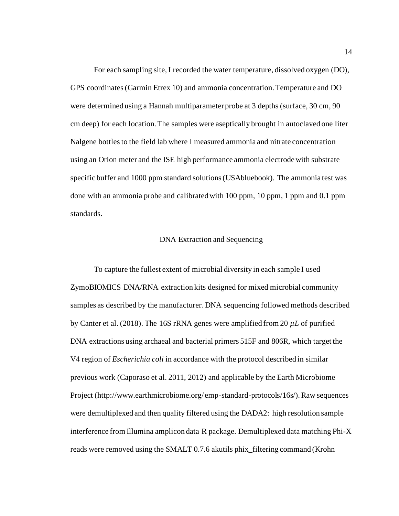For each sampling site, I recorded the water temperature, dissolved oxygen (DO), GPS coordinates(Garmin Etrex 10) and ammonia concentration. Temperature and DO were determined using a Hannah multiparameter probe at 3 depths (surface, 30 cm, 90 cm deep) for each location. The samples were aseptically brought in autoclaved one liter Nalgene bottles to the field lab where I measured ammonia and nitrate concentration using an Orion meter and the ISE high performance ammonia electrode with substrate specific buffer and 1000 ppm standard solutions (USAbluebook). The ammonia test was done with an ammonia probe and calibrated with  $100$  ppm,  $10$  ppm, 1 ppm and  $0.1$  ppm standards.

#### DNA Extraction and Sequencing

<span id="page-22-0"></span>To capture the fullest extent of microbial diversity in each sample I used ZymoBIOMICS DNA/RNA extraction kits designed for mixed microbial community samples as described by the manufacturer. DNA sequencing followed methods described by Canter et al. (2018). The 16S rRNA genes were amplified from 20  $\mu$ L of purified DNA extractions using archaeal and bacterial primers 515F and 806R, which target the V4 region of *Escherichia coli* in accordance with the protocol described in similar previous work (Caporaso et al. 2011, 2012) and applicable by the Earth Microbiome Project (http://www.earthmicrobiome.org/ emp-standard-protocols/16s/). Raw sequences were demultiplexed and then quality filtered using the DADA2: high resolution sample interference from Illumina amplicon data R package. Demultiplexed data matching Phi-X reads were removed using the SMALT 0.7.6 akutils phix\_filtering command (Krohn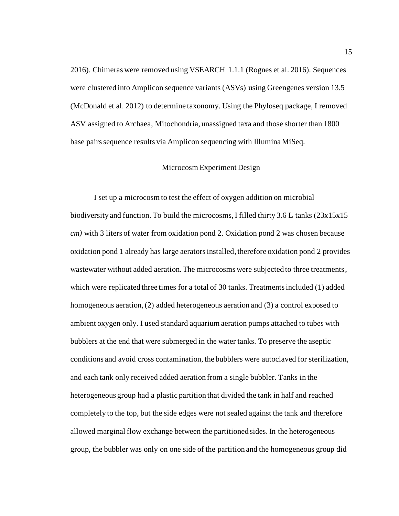2016). Chimeras were removed using VSEARCH 1.1.1 (Rognes et al. 2016). Sequences were clustered into Amplicon sequence variants (ASVs) using Greengenes version 13.5 (McDonald et al. 2012) to determine taxonomy. Using the Phyloseq package, I removed ASV assigned to Archaea, Mitochondria, unassigned taxa and those shorter than 1800 base pairs sequence results via Amplicon sequencing with Illumina MiSeq.

#### Microcosm Experiment Design

<span id="page-23-0"></span>I set up a microcosm to test the effect of oxygen addition on microbial biodiversity and function. To build the microcosms, I filled thirty 3.6 L tanks (23x15x15 *cm)* with 3 liters of water from oxidation pond 2. Oxidation pond 2 was chosen because oxidation pond 1 already has large aerators installed, therefore oxidation pond 2 provides wastewater without added aeration. The microcosms were subjected to three treatments, which were replicated three times for a total of 30 tanks. Treatments included (1) added homogeneous aeration, (2) added heterogeneous aeration and (3) a control exposed to ambient oxygen only. I used standard aquarium aeration pumps attached to tubes with bubblers at the end that were submerged in the water tanks. To preserve the aseptic conditions and avoid cross contamination, the bubblers were autoclaved for sterilization, and each tank only received added aeration from a single bubbler. Tanks in the heterogeneous group had a plastic partition that divided the tank in half and reached completely to the top, but the side edges were not sealed against the tank and therefore allowed marginal flow exchange between the partitioned sides. In the heterogeneous group, the bubbler was only on one side of the partition and the homogeneous group did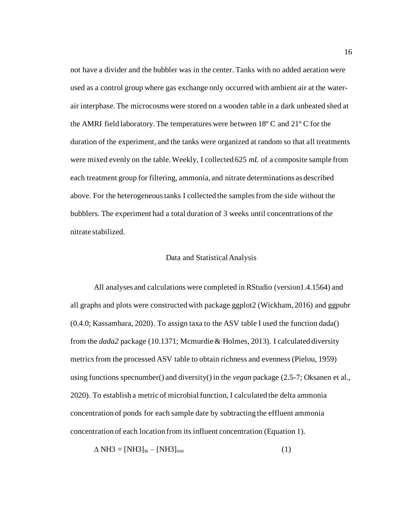not have a divider and the bubbler was in the center. Tanks with no added aeration were used as a control group where gas exchange only occurred with ambient air at the waterair interphase. The microcosms were stored on a wooden table in a dark unheated shed at the AMRI field laboratory. The temperatures were between 18º C and 21º C for the duration of the experiment, and the tanks were organized at random so that all treatments were mixed evenly on the table. Weekly, I collected 625 *mL* of a composite sample from each treatment group for filtering, ammonia, and nitrate determinations as described above. For the heterogeneous tanks I collected the samples from the side without the bubblers. The experiment had a total duration of 3 weeks until concentrations of the nitrate stabilized.

#### Data and Statistical Analysis

<span id="page-24-0"></span>All analyses and calculations were completed in RStudio (version1.4.1564) and all graphs and plots were constructed with package ggplot2 (Wickham, 2016) and ggpubr (0.4.0; Kassambara, 2020). To assign taxa to the ASV table I used the function dada() from the *dada2* package (10.1371; Mcmurdie & Holmes, 2013). I calculated diversity metrics from the processed ASV table to obtain richness and evenness (Pielou, 1959) using functions specnumber() and diversity() in the *vegan* package (2.5-7; Oksanen et al., 2020). To establish a metric of microbial function, I calculated the delta ammonia concentration of ponds for each sample date by subtracting the effluent ammonia concentration of each location from its influent concentration (Equation 1).

$$
\Delta \text{NH3} = [\text{NH3}]_{\text{in}} - [\text{NH3}]_{\text{out}} \tag{1}
$$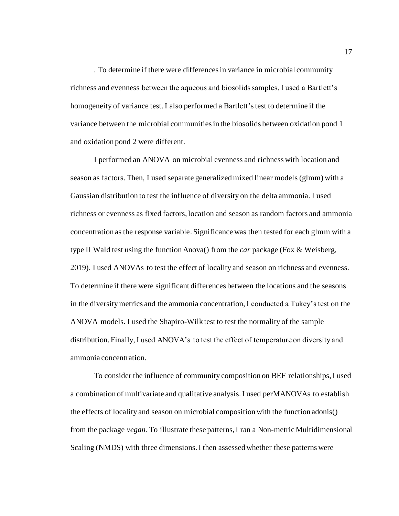. To determine if there were differencesin variance in microbial community richness and evenness between the aqueous and biosolids samples, I used a Bartlett's homogeneity of variance test. I also performed a Bartlett's test to determine if the variance between the microbial communities in the biosolids between oxidation pond 1 and oxidation pond 2 were different.

I performed an ANOVA on microbial evenness and richness with location and season as factors. Then, I used separate generalized mixed linear models (glmm) with a Gaussian distribution to test the influence of diversity on the delta ammonia. I used richness or evenness as fixed factors, location and season as random factors and ammonia concentration as the response variable. Significance was then tested for each glmm with a type II Wald test using the function Anova() from the *car* package (Fox & Weisberg, 2019). I used ANOVAs to test the effect of locality and season on richness and evenness. To determine if there were significant differences between the locations and the seasons in the diversity metrics and the ammonia concentration,I conducted a Tukey's test on the ANOVA models. I used the Shapiro-Wilk test to test the normality of the sample distribution. Finally, I used ANOVA's to test the effect of temperature on diversity and ammonia concentration.

To consider the influence of community composition on BEF relationships, I used a combination of multivariate and qualitative analysis. I used perMANOVAs to establish the effects of locality and season on microbial composition with the function adonis() from the package *vegan.* To illustrate these patterns, I ran a Non-metric Multidimensional Scaling (NMDS) with three dimensions. I then assessed whether these patterns were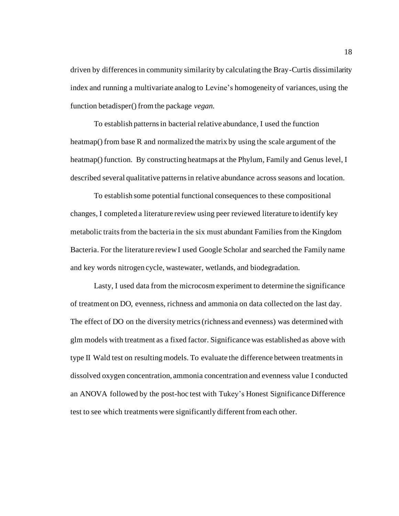driven by differences in community similarity by calculating the Bray-Curtis dissimilarity index and running a multivariate analog to Levine's homogeneity of variances, using the function betadisper() from the package *vegan.* 

To establish patterns in bacterial relative abundance, I used the function heatmap() from base R and normalized the matrix by using the scale argument of the heatmap() function. By constructing heatmaps at the Phylum, Family and Genus level, I described several qualitative patterns in relative abundance across seasons and location.

To establish some potential functional consequences to these compositional changes, I completed a literature review using peer reviewed literature to identify key metabolic traits from the bacteria in the six must abundant Familiesfrom the Kingdom Bacteria. For the literature review I used Google Scholar and searched the Family name and key words nitrogen cycle, wastewater, wetlands, and biodegradation.

Lasty, I used data from the microcosm experiment to determine the significance of treatment on DO, evenness, richness and ammonia on data collected on the last day. The effect of DO on the diversity metrics (richness and evenness) was determined with glm models with treatment as a fixed factor. Significance was established as above with type II Wald test on resulting models. To evaluate the difference between treatments in dissolved oxygen concentration, ammonia concentration and evenness value I conducted an ANOVA followed by the post-hoc test with Tukey's Honest Significance Difference test to see which treatments were significantly different from each other.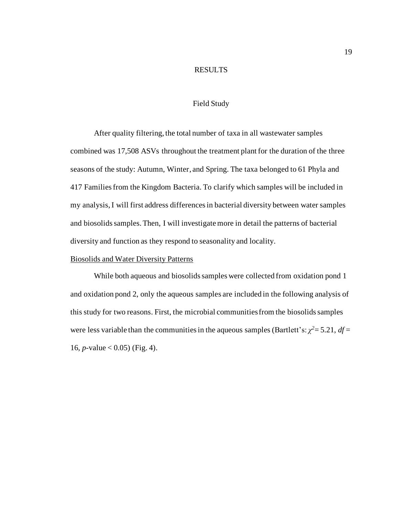#### RESULTS

#### Field Study

<span id="page-27-1"></span><span id="page-27-0"></span>After quality filtering, the total number of taxa in all wastewater samples combined was 17,508 ASVs throughout the treatment plant for the duration of the three seasons of the study: Autumn, Winter, and Spring. The taxa belonged to 61 Phyla and 417 Families from the Kingdom Bacteria. To clarify which samples will be included in my analysis, I will first address differences in bacterial diversity between water samples and biosolids samples. Then, I will investigate more in detail the patterns of bacterial diversity and function as they respond to seasonality and locality.

# <span id="page-27-2"></span>Biosolids and Water Diversity Patterns

While both aqueous and biosolids samples were collected from oxidation pond 1 and oxidation pond 2, only the aqueous samples are included in the following analysis of this study for two reasons. First, the microbial communities from the biosolids samples were less variable than the communities in the aqueous samples (Bartlett's:  $\chi^2 = 5.21$ ,  $df =$ 16, *p*-value < 0.05) (Fig. 4).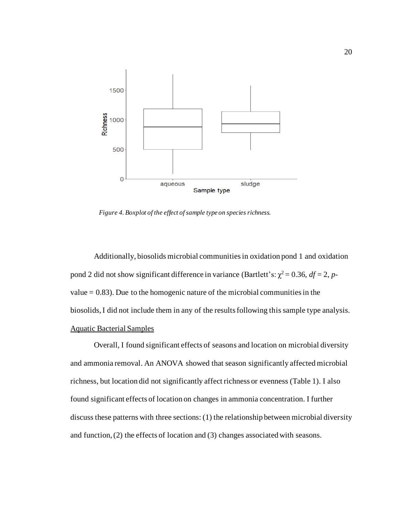

*Figure 4. Boxplot of the effect of sample type on species richness.*

Additionally, biosolids microbial communities in oxidation pond 1 and oxidation pond 2 did not show significant difference in variance (Bartlett's:  $\chi^2 = 0.36$ ,  $df = 2$ , *p*value  $= 0.83$ ). Due to the homogenic nature of the microbial communities in the biosolids, I did not include them in any of the results following this sample type analysis. Aquatic Bacterial Samples

<span id="page-28-0"></span>Overall, I found significant effects of seasons and location on microbial diversity and ammonia removal. An ANOVA showed that season significantly affected microbial richness, but location did not significantly affect richness or evenness (Table 1). I also found significant effects of location on changes in ammonia concentration. I further discuss these patterns with three sections: (1) the relationship between microbial diversity and function, (2) the effects of location and (3) changes associated with seasons.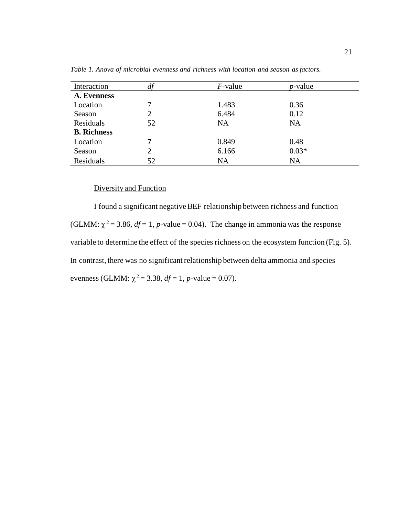| Interaction        | u.             | $F$ -value | $p$ -value |  |
|--------------------|----------------|------------|------------|--|
| A. Evenness        |                |            |            |  |
| Location           | 7              | 1.483      | 0.36       |  |
| Season             | $\overline{2}$ | 6.484      | 0.12       |  |
| Residuals          | 52             | <b>NA</b>  | NA         |  |
| <b>B.</b> Richness |                |            |            |  |
| Location           |                | 0.849      | 0.48       |  |
| Season             | 2              | 6.166      | $0.03*$    |  |
| Residuals          | 52             | <b>NA</b>  | <b>NA</b>  |  |

<span id="page-29-0"></span>*Table 1. Anova of microbial evenness and richness with location and season as factors.*

# Diversity and Function

I found a significant negativeBEF relationship between richness and function (GLMM:  $\chi^2$  = 3.86, *df* = 1, *p*-value = 0.04). The change in ammonia was the response variable to determine the effect of the species richness on the ecosystem function (Fig. 5). In contrast, there was no significant relationship between delta ammonia and species evenness (GLMM:  $\chi^2 = 3.38$ , *df* = 1, *p*-value = 0.07).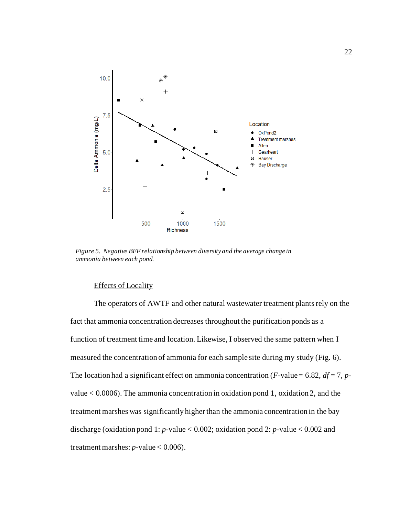

*Figure 5. Negative BEF relationship between diversity and the average change in ammonia between each pond.* 

#### Effects of Locality

The operators of AWTF and other natural wastewater treatment plants rely on the fact that ammonia concentration decreases throughout the purification ponds as a function of treatment time and location. Likewise, I observed the same pattern when I measured the concentration of ammonia for each sample site during my study (Fig. 6). The location had a significant effect on ammonia concentration ( $F$ -value = 6.82,  $df = 7$ ,  $p$ value < 0.0006). The ammonia concentration in oxidation pond 1, oxidation 2, and the treatment marshes was significantly higher than the ammonia concentration in the bay discharge (oxidation pond 1: *p*-value < 0.002; oxidation pond 2: *p*-value < 0.002 and treatment marshes:  $p$ -value < 0.006).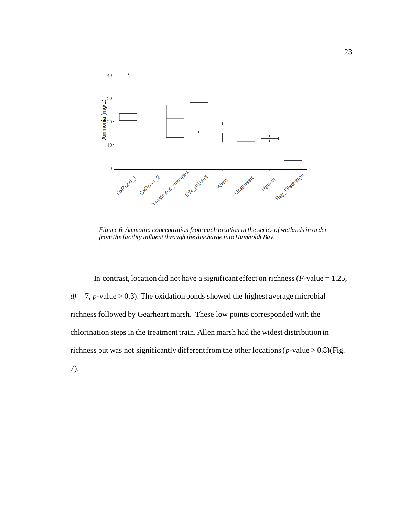

*Figure 6. Ammonia concentration from each location in the series of wetlands in order from the facility influent through the discharge into Humboldt Bay.*

In contrast, location did not have a significant effect on richness (*F-*value = 1.25,  $df = 7$ , *p*-value > 0.3). The oxidation ponds showed the highest average microbial richness followed by Gearheart marsh. These low points corresponded with the chlorination steps in the treatment train. Allen marsh had the widest distribution in richness but was not significantly different from the other locations (*p-*value > 0.8)(Fig. 7).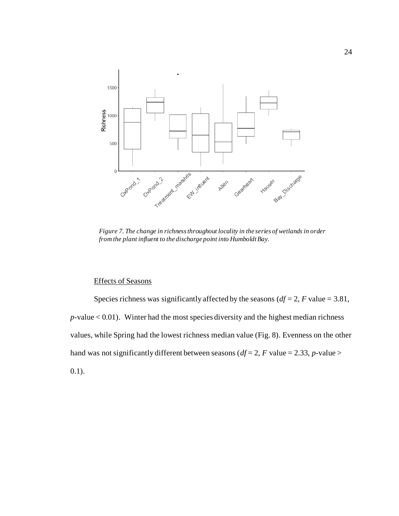

*Figure 7. The change in richnessthroughout locality in the series of wetlands in order from the plant influent to the discharge point into Humboldt Bay.* 

### Effects of Seasons

Species richness was significantly affected by the seasons ( $df = 2$ , *F* value = 3.81,  $p$ -value < 0.01). Winter had the most species diversity and the highest median richness values, while Spring had the lowest richness median value (Fig. 8). Evenness on the other hand was not significantly different between seasons ( $df = 2$ , *F* value = 2.33, *p*-value > 0.1).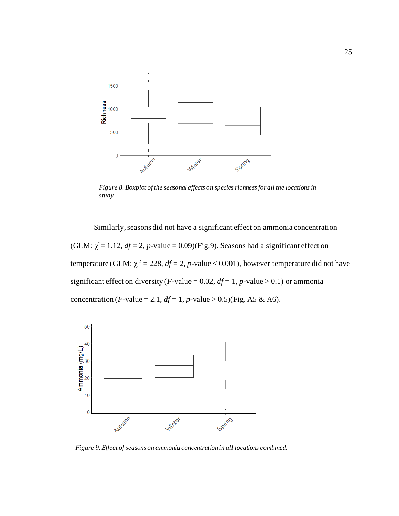

*Figure 8. Boxplot of the seasonal effects on species richness for all the locations in study*

Similarly, seasons did not have a significant effect on ammonia concentration (GLM:  $\chi^2$ = 1.12,  $df$  = 2, *p*-value = 0.09)(Fig.9). Seasons had a significant effect on temperature (GLM:  $\chi^2 = 228$ ,  $df = 2$ , *p*-value < 0.001), however temperature did not have significant effect on diversity (*F*-value = 0.02,  $df = 1$ , *p*-value > 0.1) or ammonia concentration (*F*-value = 2.1,  $df = 1$ , *p*-value > 0.5)(Fig. A5 & A6).



*Figure 9. Effect of seasons on ammonia concentration in all locations combined.*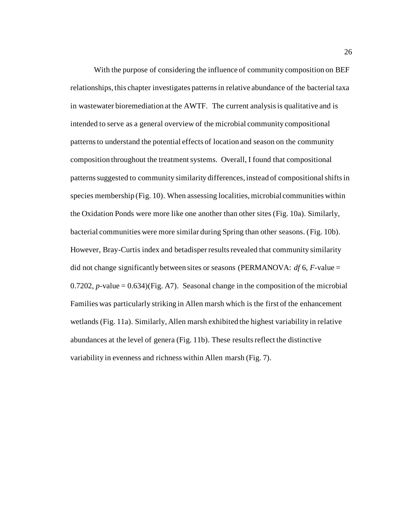With the purpose of considering the influence of community composition on BEF relationships, this chapter investigates patterns in relative abundance of the bacterial taxa in wastewater bioremediation at the AWTF. The current analysis is qualitative and is intended to serve as a general overview of the microbial community compositional patterns to understand the potential effects of location and season on the community composition throughout the treatment systems. Overall, I found that compositional patterns suggested to community similarity differences, instead of compositional shifts in species membership (Fig. 10). When assessing localities, microbial communities within the Oxidation Ponds were more like one another than other sites (Fig. 10a). Similarly, bacterial communities were more similar during Spring than other seasons. (Fig. 10b). However, Bray-Curtis index and betadisper results revealed that community similarity did not change significantly between sites or seasons (PERMANOVA: *df* 6, *F*-value = 0.7202,  $p$ -value = 0.634)(Fig. A7). Seasonal change in the composition of the microbial Families was particularly striking in Allen marsh which is the first of the enhancement wetlands (Fig. 11a). Similarly, Allen marsh exhibited the highest variability in relative abundances at the level of genera (Fig. 11b). These results reflect the distinctive variability in evenness and richness within Allen marsh (Fig. 7).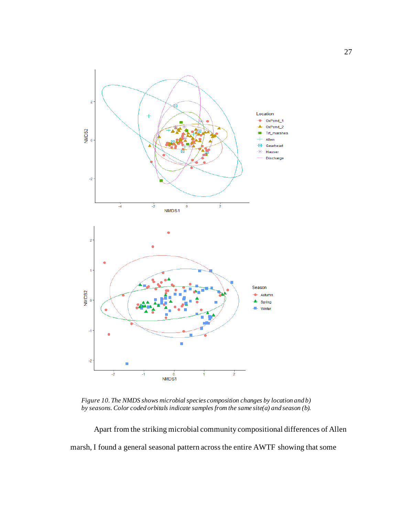

*Figure 10. The NMDS shows microbial species composition changes by location and b) by seasons. Color coded orbitals indicate samples from the same site(a) and season (b).* 

Apart from the striking microbial community compositional differences of Allen marsh, I found a general seasonal pattern across the entire AWTF showing that some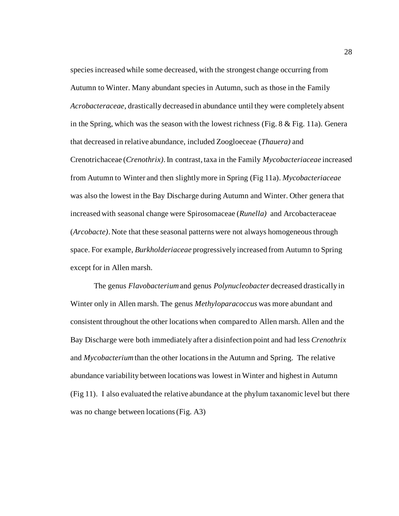species increased while some decreased, with the strongest change occurring from Autumn to Winter. Many abundant species in Autumn, such as those in the Family *Acrobacteraceae*, drastically decreased in abundance until they were completely absent in the Spring, which was the season with the lowest richness (Fig. 8 & Fig. 11a)*.* Genera that decreased in relative abundance, included Zoogloeceae (*Thauera)* and Crenotrichaceae (*Crenothrix)*. In contrast, taxa in the Family *Mycobacteriaceae* increased from Autumn to Winter and then slightly more in Spring (Fig 11a). *Mycobacteriaceae* was also the lowest in the Bay Discharge during Autumn and Winter. Other genera that increased with seasonal change were Spirosomaceae (*Runella)* and Arcobacteraceae (*Arcobacte)*. Note that these seasonal patterns were not always homogeneous through space. For example, *Burkholderiaceae* progressively increased from Autumn to Spring except for in Allen marsh.

The genus *Flavobacterium*and genus *Polynucleobacter* decreased drastically in Winter only in Allen marsh. The genus *Methyloparacoccus* was more abundant and consistent throughout the other locations when compared to Allen marsh. Allen and the Bay Discharge were both immediately after a disinfection point and had less *Crenothrix* and *Mycobacterium*than the other locationsin the Autumn and Spring. The relative abundance variability between locations was lowest in Winter and highest in Autumn (Fig 11). I also evaluated the relative abundance at the phylum taxanomic level but there was no change between locations (Fig. A3)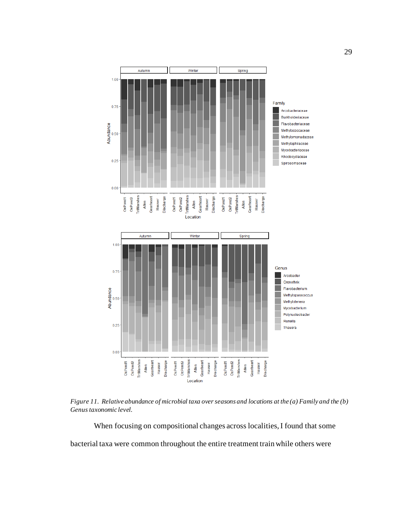

<span id="page-37-0"></span>*Figure 11. Relative abundance of microbial taxa over seasons and locations at the (a) Family and the (b) Genus taxonomic level.* 

When focusing on compositional changes across localities, I found that some bacterial taxa were common throughout the entire treatment train while others were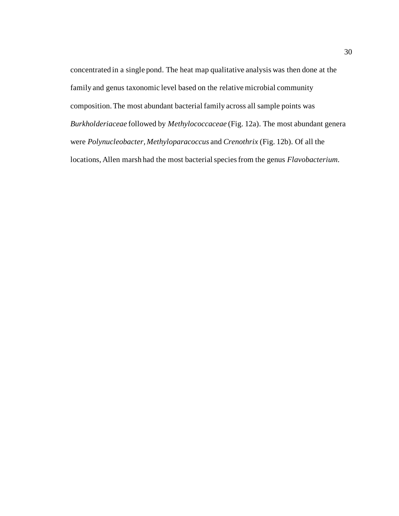concentrated in a single pond. The heat map qualitative analysis was then done at the family and genus taxonomic level based on the relative microbial community composition. The most abundant bacterial family across all sample points was *Burkholderiaceae* followed by *Methylococcaceae* (Fig. 12a). The most abundant genera were *Polynucleobacter, Methyloparacoccus* and *Crenothrix* (Fig. 12b). Of all the locations, Allen marsh had the most bacterial species from the genus *Flavobacterium*.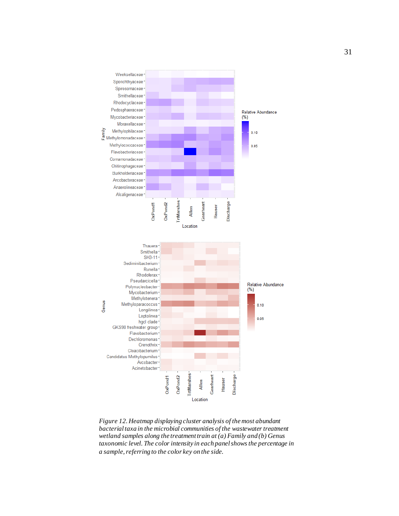

*Figure 12. Heatmap displaying cluster analysis of the most abundant bacterial taxa in the microbial communities of the wastewater treatment wetland samples along the treatment train at (a) Family and (b) Genus taxonomic level. The color intensity in each panel shows the percentage in a sample, referring to the color key on the side.*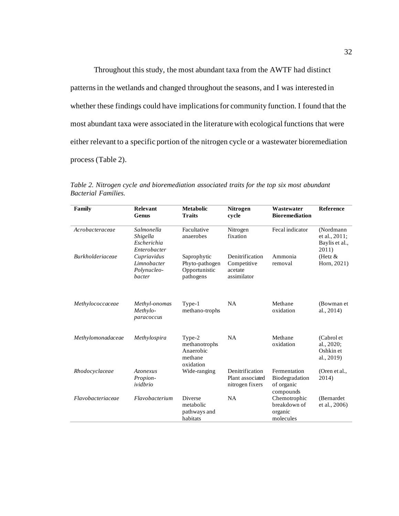Throughout this study, the most abundant taxa from the AWTF had distinct patterns in the wetlands and changed throughout the seasons, and I was interested in whether these findings could have implications for community function. I found that the most abundant taxa were associated in the literature with ecological functions that were either relevant to a specific portion of the nitrogen cycle or a wastewater bioremediation process (Table 2).

| Family                  | Relevant<br>Genus                                     | <b>Metabolic</b><br><b>Traits</b>                            | <b>Nitrogen</b><br>cycle                                 | Wastewater<br><b>Bioremediation</b>                       | <b>Reference</b>                                      |
|-------------------------|-------------------------------------------------------|--------------------------------------------------------------|----------------------------------------------------------|-----------------------------------------------------------|-------------------------------------------------------|
| Acrobacteraceae         | Salmonella<br>Shigella<br>Escherichia<br>Enterobacter | Facultative<br>anaerobes                                     | Nitrogen<br>fixation                                     | Fecal indicator                                           | (Nordmann<br>et al., 2011;<br>Baylis et al.,<br>2011) |
| <b>Burkholderiaceae</b> | Cupriavidus<br>Limnobacter<br>Polynucleo-<br>bacter   | Saprophytic<br>Phyto-pathogen<br>Opportunistic<br>pathogens  | Denitrification<br>Competitive<br>acetate<br>assimilator | Ammonia<br>removal                                        | (Hetz $&$<br>Horn, 2021)                              |
| Methylococcaceae        | Methyl-onomas<br>Methylo-<br>paracoccus               | Type-1<br>methano-trophs                                     | <b>NA</b>                                                | Methane<br>oxidation                                      | (Bowman et<br>al., 2014)                              |
| Methylomonadaceae       | Methylospira                                          | Type-2<br>methanotrophs<br>Anaerobic<br>methane<br>oxidation | NA                                                       | Methane<br>oxidation                                      | (Cabrol et<br>al., 2020;<br>Oshkin et<br>al., 2019)   |
| Rhodocyclaceae          | Azonexus<br>Propion-<br>ividbrio                      | Wide-ranging                                                 | Denitrification<br>Plant associated<br>nitrogen fixers   | Fermentation<br>Biodegradation<br>of organic<br>compounds | (Oren et al.,<br>2014)                                |
| Flavobacteriaceae       | Flavobacterium                                        | <b>Diverse</b><br>metabolic<br>pathways and<br>habitats      | <b>NA</b>                                                | Chemotrophic<br>breakdown of<br>organic<br>molecules      | (Bernardet)<br>et al., 2006)                          |

<span id="page-40-0"></span>*Table 2. Nitrogen cycle and bioremediation associated traits for the top six most abundant Bacterial Families.*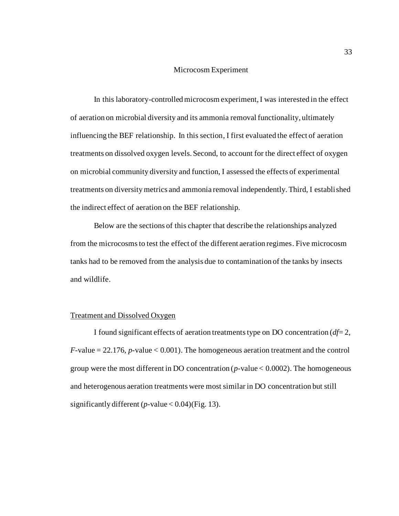#### Microcosm Experiment

<span id="page-41-0"></span>In this laboratory-controlled microcosm experiment, I was interested in the effect of aeration on microbial diversity and its ammonia removal functionality, ultimately influencing the BEF relationship. In this section, I first evaluated the effect of aeration treatments on dissolved oxygen levels. Second, to account for the direct effect of oxygen on microbial community diversity and function, I assessed the effects of experimental treatments on diversity metrics and ammonia removal independently. Third, I established the indirect effect of aeration on the BEF relationship.

Below are the sections of this chapter that describe the relationships analyzed from the microcosmsto test the effect of the different aeration regimes. Five microcosm tanks had to be removed from the analysis due to contamination of the tanks by insects and wildlife.

#### <span id="page-41-1"></span>Treatment and Dissolved Oxygen

I found significant effects of aeration treatments type on DO concentration  $df = 2$ , *F*-value = 22.176, *p*-value < 0.001). The homogeneous aeration treatment and the control group were the most different in DO concentration (*p-*value < 0.0002). The homogeneous and heterogenous aeration treatments were most similar in DO concentration but still significantly different (*p-*value < 0.04)(Fig. 13).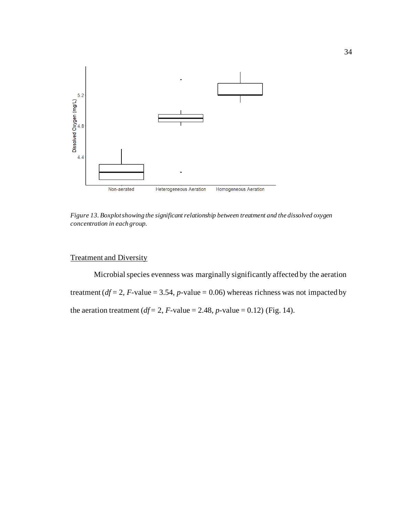

<span id="page-42-1"></span>*Figure 13. Boxplot showing the significant relationship between treatment and the dissolved oxygen concentration in each group.*

# <span id="page-42-0"></span>Treatment and Diversity

Microbial species evenness was marginally significantly affected by the aeration treatment ( $df = 2$ ,  $F$ -value = 3.54,  $p$ -value = 0.06) whereas richness was not impacted by the aeration treatment ( $df = 2$ ,  $F$ -value = 2.48,  $p$ -value = 0.12) (Fig. 14).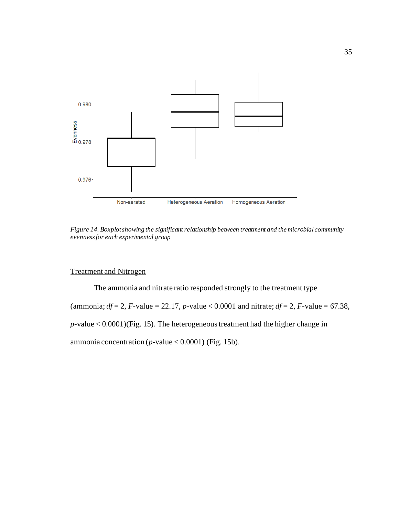

<span id="page-43-1"></span>*Figure 14. Boxplot showing the significant relationship between treatment and the microbial community evenness for each experimental group* 

# <span id="page-43-0"></span>Treatment and Nitrogen

The ammonia and nitrate ratio responded strongly to the treatment type (ammonia;  $df = 2$ , *F*-value = 22.17, *p*-value < 0.0001 and nitrate;  $df = 2$ , *F*-value = 67.38, *p*-value < 0.0001)(Fig. 15). The heterogeneous treatment had the higher change in ammonia concentration ( $p$ -value < 0.0001) (Fig. 15b).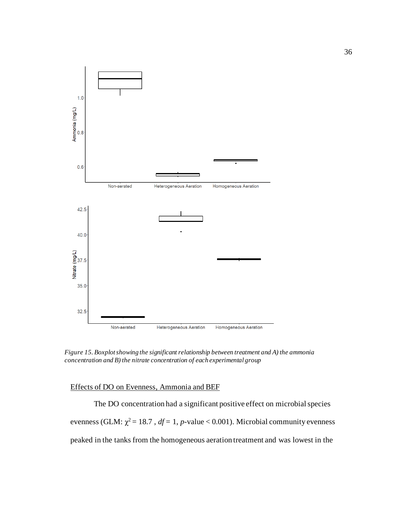

*Figure 15. Boxplotshowing the significant relationship between treatment and A) the ammonia concentration and B) the nitrate concentration of each experimental group*

## <span id="page-44-0"></span>Effects of DO on Evenness, Ammonia and BEF

The DO concentration had a significant positive effect on microbial species evenness (GLM:  $\chi^2 = 18.7$ ,  $df = 1$ , *p*-value < 0.001). Microbial community evenness peaked in the tanks from the homogeneous aeration treatment and was lowest in the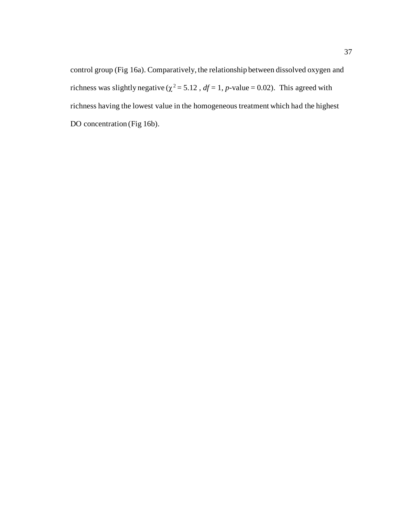control group (Fig 16a). Comparatively, the relationship between dissolved oxygen and richness was slightly negative ( $\chi^2$  = 5.12,  $df$  = 1, *p*-value = 0.02). This agreed with richness having the lowest value in the homogeneous treatment which had the highest DO concentration (Fig 16b).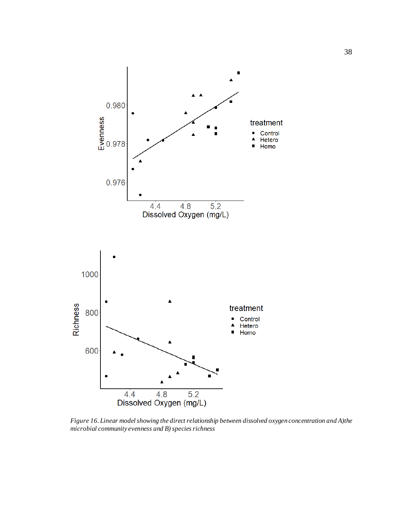

<span id="page-46-0"></span>*Figure 16. Linear model showing the direct relationship between dissolved oxygen concentration and A)the microbial community evenness and B) species richness*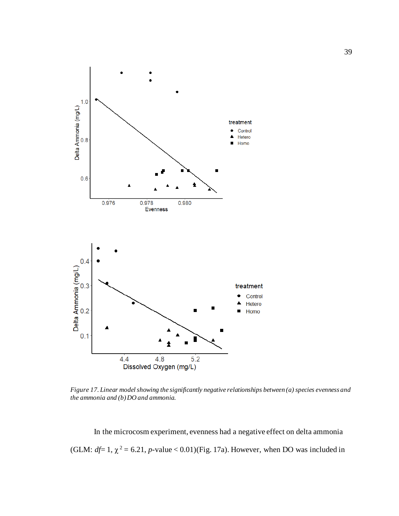

<span id="page-47-0"></span>*Figure 17. Linear model showing the significantly negative relationships between (a) species evenness and the ammonia and (b) DO and ammonia.*

In the microcosm experiment, evenness had a negative effect on delta ammonia (GLM:  $df=1$ ,  $\chi^2 = 6.21$ , *p*-value < 0.01)(Fig. 17a). However, when DO was included in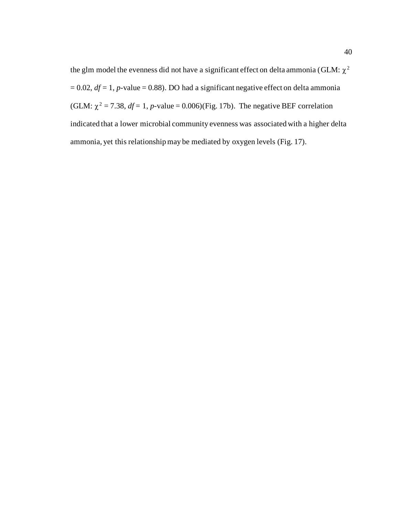the glm model the evenness did not have a significant effect on delta ammonia (GLM:  $\chi^2$  $= 0.02$ ,  $df = 1$ , *p*-value = 0.88). DO had a significant negative effect on delta ammonia (GLM:  $\chi^2$  = 7.38, *df* = 1, *p*-value = 0.006)(Fig. 17b). The negative BEF correlation indicated that a lower microbial community evenness was associated with a higher delta ammonia, yet this relationship may be mediated by oxygen levels (Fig. 17).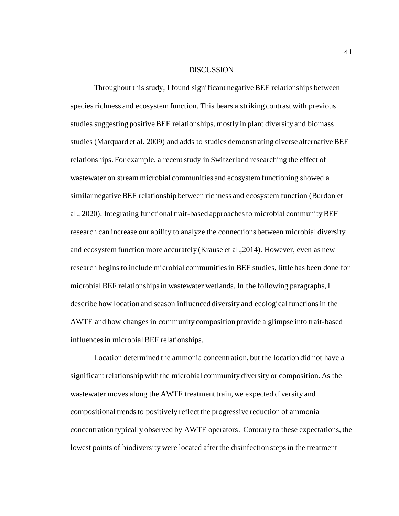#### **DISCUSSION**

<span id="page-49-0"></span>Throughout this study, I found significant negative BEF relationships between species richness and ecosystem function. This bears a striking contrast with previous studies suggesting positive BEF relationships, mostly in plant diversity and biomass studies (Marquard et al. 2009) and adds to studies demonstrating diverse alternative BEF relationships. For example, a recentstudy in Switzerland researching the effect of wastewater on stream microbial communities and ecosystem functioning showed a similar negative BEF relationship between richness and ecosystem function (Burdon et al., 2020). Integrating functional trait-based approaches to microbial community BEF research can increase our ability to analyze the connections between microbial diversity and ecosystem function more accurately (Krause et al.,2014). However, even as new research begins to include microbial communities in BEF studies, little has been done for microbial BEF relationships in wastewater wetlands. In the following paragraphs, I describe how location and season influenced diversity and ecological functionsin the AWTF and how changes in community composition provide a glimpse into trait-based influences in microbial BEF relationships.

Location determined the ammonia concentration, but the location did not have a significant relationship with the microbial community diversity or composition. As the wastewater moves along the AWTF treatment train, we expected diversity and compositional trends to positively reflect the progressive reduction of ammonia concentration typically observed by AWTF operators. Contrary to these expectations, the lowest points of biodiversity were located after the disinfection steps in the treatment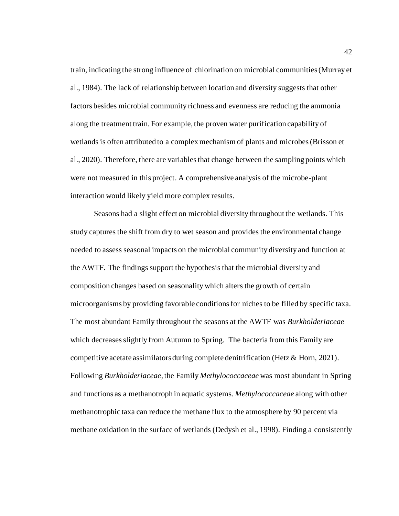train, indicating the strong influence of chlorination on microbial communities (Murray et al., 1984). The lack of relationship between location and diversity suggests that other factors besides microbial community richness and evenness are reducing the ammonia along the treatment train. For example, the proven water purification capability of wetlands is often attributed to a complex mechanism of plants and microbes (Brisson et al., 2020). Therefore, there are variables that change between the sampling points which were not measured in this project. A comprehensive analysis of the microbe-plant interaction would likely yield more complex results.

Seasons had a slight effect on microbial diversity throughout the wetlands. This study captures the shift from dry to wet season and provides the environmental change needed to assess seasonal impacts on the microbial community diversity and function at the AWTF. The findings support the hypothesis that the microbial diversity and composition changes based on seasonality which alters the growth of certain microorganisms by providing favorable conditions for niches to be filled by specific taxa. The most abundant Family throughout the seasons at the AWTF was *Burkholderiaceae* which decreases slightly from Autumn to Spring*.* The bacteria from this Family are competitive acetate assimilators during complete denitrification (Hetz & Horn, 2021). Following *Burkholderiaceae,* the Family *Methylococcaceae* was most abundant in Spring and functions as a methanotroph in aquatic systems. *Methylococcaceae* along with other methanotrophic taxa can reduce the methane flux to the atmosphere by 90 percent via methane oxidation in the surface of wetlands (Dedysh et al., 1998). Finding a consistently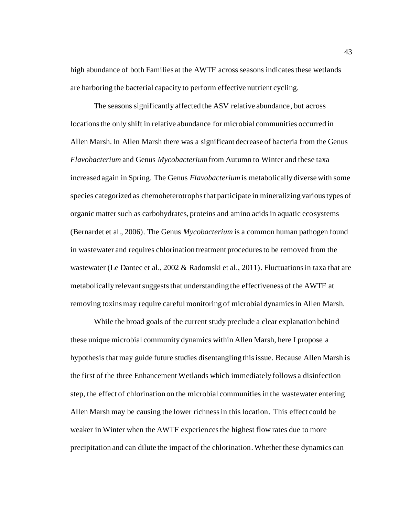high abundance of both Families at the AWTF across seasons indicates these wetlands are harboring the bacterial capacity to perform effective nutrient cycling.

The seasons significantly affected the ASV relative abundance, but across locationsthe only shift in relative abundance for microbial communities occurred in Allen Marsh. In Allen Marsh there was a significant decrease of bacteria from the Genus *Flavobacterium* and Genus *Mycobacterium*from Autumn to Winter and these taxa increased again in Spring. The Genus *Flavobacterium*is metabolically diverse with some species categorized as chemoheterotrophsthat participate in mineralizing various types of organic matter such as carbohydrates, proteins and amino acids in aquatic ecosystems (Bernardet et al., 2006). The Genus *Mycobacterium* is a common human pathogen found in wastewater and requires chlorination treatment procedures to be removed from the wastewater (Le Dantec et al., 2002 & Radomski et al., 2011). Fluctuations in taxa that are metabolically relevant suggests that understanding the effectiveness of the AWTF at removing toxins may require careful monitoring of microbial dynamics in Allen Marsh.

While the broad goals of the current study preclude a clear explanation behind these unique microbial community dynamics within Allen Marsh, here I propose a hypothesis that may guide future studies disentangling this issue. Because Allen Marsh is the first of the three Enhancement Wetlands which immediately follows a disinfection step, the effect of chlorination on the microbial communities in the wastewater entering Allen Marsh may be causing the lower richness in this location. This effect could be weaker in Winter when the AWTF experiences the highest flow rates due to more precipitation and can dilute the impact of the chlorination. Whether these dynamics can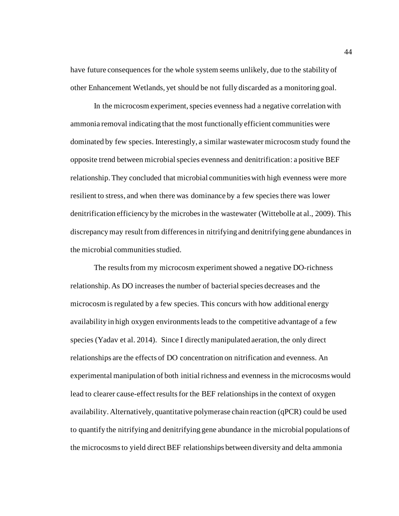have future consequences for the whole system seems unlikely, due to the stability of other Enhancement Wetlands, yet should be not fully discarded as a monitoring goal.

In the microcosm experiment, species evenness had a negative correlation with ammonia removal indicating that the most functionally efficient communities were dominated by few species. Interestingly, a similar wastewater microcosm study found the opposite trend between microbial species evenness and denitrification: a positive BEF relationship. They concluded that microbial communities with high evenness were more resilient to stress, and when there was dominance by a few species there was lower denitrification efficiency by the microbes in the wastewater (Wittebolle at al., 2009). This discrepancy may result from differences in nitrifying and denitrifying gene abundances in the microbial communities studied.

The results from my microcosm experiment showed a negative DO-richness relationship. As DO increases the number of bacterial species decreases and the microcosm is regulated by a few species. This concurs with how additional energy availability in high oxygen environments leads to the competitive advantage of a few species (Yadav et al. 2014). Since I directly manipulated aeration, the only direct relationships are the effects of DO concentration on nitrification and evenness. An experimental manipulation of both initial richness and evenness in the microcosms would lead to clearer cause-effect results for the BEF relationships in the context of oxygen availability. Alternatively, quantitative polymerase chain reaction (qPCR) could be used to quantify the nitrifying and denitrifying gene abundance in the microbial populations of the microcosms to yield direct BEF relationships between diversity and delta ammonia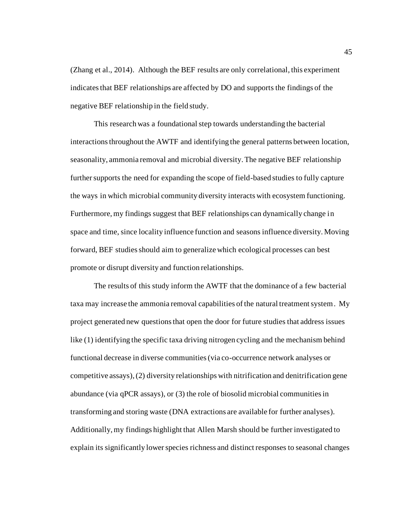(Zhang et al., 2014). Although the BEF results are only correlational, this experiment indicates that BEF relationships are affected by DO and supports the findings of the negative BEF relationship in the field study.

This research was a foundational step towards understanding the bacterial interactions throughout the AWTF and identifying the general patterns between location, seasonality, ammonia removal and microbial diversity. The negative BEF relationship further supports the need for expanding the scope of field-based studies to fully capture the ways in which microbial community diversity interacts with ecosystem functioning. Furthermore, my findings suggest that BEF relationships can dynamically change in space and time, since locality influence function and seasons influence diversity. Moving forward, BEF studies should aim to generalize which ecological processes can best promote or disrupt diversity and function relationships.

The results of this study inform the AWTF that the dominance of a few bacterial taxa may increase the ammonia removal capabilities of the natural treatment system. My project generated new questions that open the door for future studies that address issues like (1) identifying the specific taxa driving nitrogen cycling and the mechanism behind functional decrease in diverse communities (via co-occurrence network analyses or competitive assays), (2) diversity relationships with nitrification and denitrification gene abundance (via qPCR assays), or (3) the role of biosolid microbial communities in transforming and storing waste (DNA extractions are available for further analyses). Additionally, my findings highlight that Allen Marsh should be further investigated to explain its significantly lower species richness and distinct responses to seasonal changes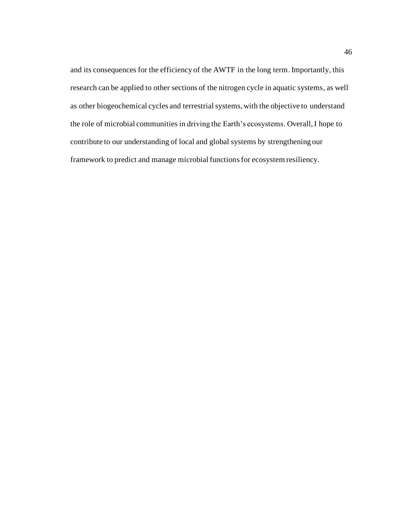and its consequences for the efficiency of the AWTF in the long term. Importantly, this research can be applied to other sections of the nitrogen cycle in aquatic systems, as well as other biogeochemical cycles and terrestrial systems, with the objective to understand the role of microbial communities in driving the Earth's ecosystems. Overall, I hope to contribute to our understanding of local and global systems by strengthening our framework to predict and manage microbial functionsfor ecosystem resiliency.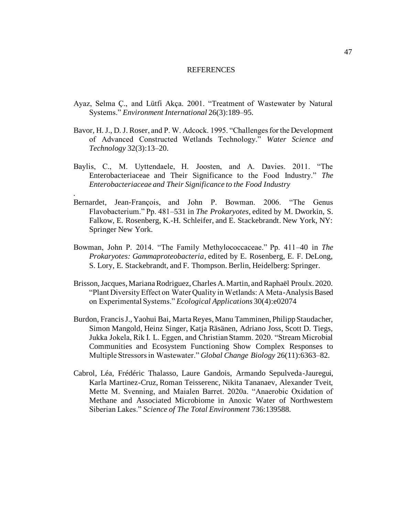#### REFERENCES

- <span id="page-55-0"></span>Ayaz, Selma Ç., and Lütfi Akça. 2001. "Treatment of Wastewater by Natural Systems." *Environment International* 26(3):189–95.
- Bavor, H. J., D. J. Roser, and P. W. Adcock. 1995. "Challenges for the Development of Advanced Constructed Wetlands Technology." *Water Science and Technology* 32(3):13–20.
- Baylis, C., M. Uyttendaele, H. Joosten, and A. Davies. 2011. "The Enterobacteriaceae and Their Significance to the Food Industry." *The Enterobacteriaceae and Their Significance to the Food Industry*

*.*

- Bernardet, Jean-François, and John P. Bowman. 2006. "The Genus Flavobacterium." Pp. 481–531 in *The Prokaryotes*, edited by M. Dworkin, S. Falkow, E. Rosenberg, K.-H. Schleifer, and E. Stackebrandt. New York, NY: Springer New York.
- Bowman, John P. 2014. "The Family Methylococcaceae." Pp. 411–40 in *The Prokaryotes: Gammaproteobacteria*, edited by E. Rosenberg, E. F. DeLong, S. Lory, E. Stackebrandt, and F. Thompson. Berlin, Heidelberg: Springer.
- Brisson, Jacques, Mariana Rodriguez, Charles A. Martin, and Raphaël Proulx. 2020. "Plant Diversity Effect on Water Quality in Wetlands: A Meta-Analysis Based on Experimental Systems." *Ecological Applications* 30(4):e02074
- Burdon, Francis J., Yaohui Bai, Marta Reyes, Manu Tamminen, Philipp Staudacher, Simon Mangold, Heinz Singer, Katja Räsänen, Adriano Joss, Scott D. Tiegs, Jukka Jokela, Rik I. L. Eggen, and Christian Stamm. 2020. "Stream Microbial Communities and Ecosystem Functioning Show Complex Responses to Multiple Stressors in Wastewater." *Global Change Biology* 26(11):6363–82.
- Cabrol, Léa, Frédéric Thalasso, Laure Gandois, Armando Sepulveda-Jauregui, Karla Martinez-Cruz, Roman Teisserenc, Nikita Tananaev, Alexander Tveit, Mette M. Svenning, and Maialen Barret. 2020a. "Anaerobic Oxidation of Methane and Associated Microbiome in Anoxic Water of Northwestern Siberian Lakes." *Science of The Total Environment* 736:139588.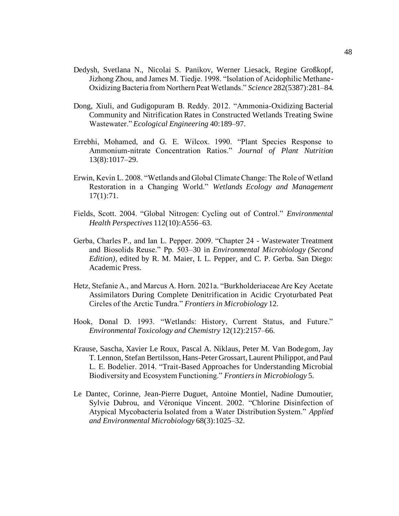- Dedysh, Svetlana N., Nicolai S. Panikov, Werner Liesack, Regine Großkopf, Jizhong Zhou, and James M. Tiedje. 1998. "Isolation of Acidophilic Methane-Oxidizing Bacteria from Northern Peat Wetlands." *Science* 282(5387):281–84.
- Dong, Xiuli, and Gudigopuram B. Reddy. 2012. "Ammonia-Oxidizing Bacterial Community and Nitrification Rates in Constructed Wetlands Treating Swine Wastewater." *Ecological Engineering* 40:189–97.
- Errebhi, Mohamed, and G. E. Wilcox. 1990. "Plant Species Response to Ammonium‐nitrate Concentration Ratios." *Journal of Plant Nutrition* 13(8):1017–29.
- Erwin, Kevin L. 2008. "Wetlands and Global Climate Change: The Role of Wetland Restoration in a Changing World." *Wetlands Ecology and Management* 17(1):71.
- Fields, Scott. 2004. "Global Nitrogen: Cycling out of Control." *Environmental Health Perspectives* 112(10):A556–63.
- Gerba, Charles P., and Ian L. Pepper. 2009. "Chapter 24 Wastewater Treatment and Biosolids Reuse." Pp. 503–30 in *Environmental Microbiology (Second Edition)*, edited by R. M. Maier, I. L. Pepper, and C. P. Gerba. San Diego: Academic Press.
- Hetz, Stefanie A., and Marcus A. Horn. 2021a. "Burkholderiaceae Are Key Acetate Assimilators During Complete Denitrification in Acidic Cryoturbated Peat Circles of the Arctic Tundra." *Frontiers in Microbiology* 12.
- Hook, Donal D. 1993. "Wetlands: History, Current Status, and Future." *Environmental Toxicology and Chemistry* 12(12):2157–66.
- Krause, Sascha, Xavier Le Roux, Pascal A. Niklaus, Peter M. Van Bodegom, Jay T. Lennon, Stefan Bertilsson, Hans-Peter Grossart, Laurent Philippot, and Paul L. E. Bodelier. 2014. "Trait-Based Approaches for Understanding Microbial Biodiversity and Ecosystem Functioning." *Frontiers in Microbiology* 5.
- Le Dantec, Corinne, Jean-Pierre Duguet, Antoine Montiel, Nadine Dumoutier, Sylvie Dubrou, and Véronique Vincent. 2002. "Chlorine Disinfection of Atypical Mycobacteria Isolated from a Water Distribution System." *Applied and Environmental Microbiology* 68(3):1025–32.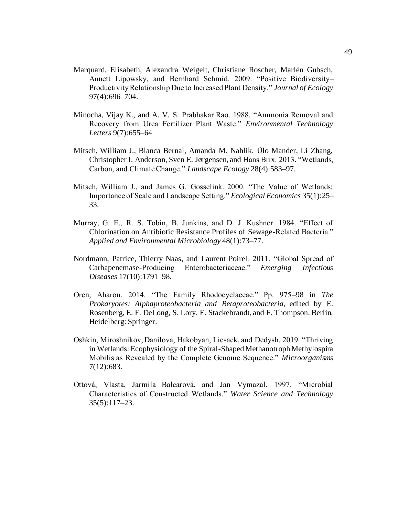- Marquard, Elisabeth, Alexandra Weigelt, Christiane Roscher, Marlén Gubsch, Annett Lipowsky, and Bernhard Schmid. 2009. "Positive Biodiversity– Productivity Relationship Due to Increased Plant Density." *Journal of Ecology* 97(4):696–704.
- Minocha, Vijay K., and A. V. S. Prabhakar Rao. 1988. "Ammonia Removal and Recovery from Urea Fertilizer Plant Waste." *Environmental Technology Letters* 9(7):655–64
- Mitsch, William J., Blanca Bernal, Amanda M. Nahlik, Ülo Mander, Li Zhang, Christopher J. Anderson, Sven E. Jørgensen, and Hans Brix. 2013. "Wetlands, Carbon, and Climate Change." *Landscape Ecology* 28(4):583–97.
- Mitsch, William J., and James G. Gosselink. 2000. "The Value of Wetlands: Importance of Scale and Landscape Setting." *Ecological Economics* 35(1):25– 33.
- Murray, G. E., R. S. Tobin, B. Junkins, and D. J. Kushner. 1984. "Effect of Chlorination on Antibiotic Resistance Profiles of Sewage-Related Bacteria." *Applied and Environmental Microbiology* 48(1):73–77.
- Nordmann, Patrice, Thierry Naas, and Laurent Poirel. 2011. "Global Spread of Carbapenemase-Producing Enterobacteriaceae." *Emerging Infectious Diseases* 17(10):1791–98.
- Oren, Aharon. 2014. "The Family Rhodocyclaceae." Pp. 975–98 in *The Prokaryotes: Alphaproteobacteria and Betaproteobacteria*, edited by E. Rosenberg, E. F. DeLong, S. Lory, E. Stackebrandt, and F. Thompson. Berlin, Heidelberg: Springer.
- Oshkin, Miroshnikov, Danilova, Hakobyan, Liesack, and Dedysh. 2019. "Thriving in Wetlands: Ecophysiology of the Spiral-Shaped Methanotroph Methylospira Mobilis as Revealed by the Complete Genome Sequence." *Microorganisms* 7(12):683.
- Ottová, Vlasta, Jarmila Balcarová, and Jan Vymazal. 1997. "Microbial Characteristics of Constructed Wetlands." *Water Science and Technology* 35(5):117–23.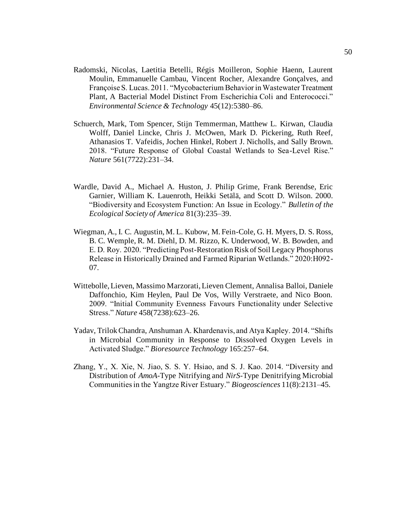- Radomski, Nicolas, Laetitia Betelli, Régis Moilleron, Sophie Haenn, Laurent Moulin, Emmanuelle Cambau, Vincent Rocher, Alexandre Gonçalves, and Françoise S. Lucas. 2011. "Mycobacterium Behavior in Wastewater Treatment Plant, A Bacterial Model Distinct From Escherichia Coli and Enterococci." *Environmental Science & Technology* 45(12):5380–86.
- Schuerch, Mark, Tom Spencer, Stijn Temmerman, Matthew L. Kirwan, Claudia Wolff, Daniel Lincke, Chris J. McOwen, Mark D. Pickering, Ruth Reef, Athanasios T. Vafeidis, Jochen Hinkel, Robert J. Nicholls, and Sally Brown. 2018. "Future Response of Global Coastal Wetlands to Sea-Level Rise." *Nature* 561(7722):231–34.
- Wardle, David A., Michael A. Huston, J. Philip Grime, Frank Berendse, Eric Garnier, William K. Lauenroth, Heikki Setälä, and Scott D. Wilson. 2000. "Biodiversity and Ecosystem Function: An Issue in Ecology." *Bulletin of the Ecological Society of America* 81(3):235–39.
- Wiegman, A., I. C. Augustin, M. L. Kubow, M. Fein-Cole, G. H. Myers, D. S. Ross, B. C. Wemple, R. M. Diehl, D. M. Rizzo, K. Underwood, W. B. Bowden, and E. D. Roy. 2020. "Predicting Post-Restoration Risk of Soil Legacy Phosphorus Release in Historically Drained and Farmed Riparian Wetlands." 2020:H092- 07.
- Wittebolle, Lieven, Massimo Marzorati, Lieven Clement, Annalisa Balloi, Daniele Daffonchio, Kim Heylen, Paul De Vos, Willy Verstraete, and Nico Boon. 2009. "Initial Community Evenness Favours Functionality under Selective Stress." *Nature* 458(7238):623–26.
- Yadav, Trilok Chandra, Anshuman A. Khardenavis, and Atya Kapley. 2014. "Shifts in Microbial Community in Response to Dissolved Oxygen Levels in Activated Sludge." *Bioresource Technology* 165:257–64.
- Zhang, Y., X. Xie, N. Jiao, S. S. Y. Hsiao, and S. J. Kao. 2014. "Diversity and Distribution of *AmoA*-Type Nitrifying and *NirS*-Type Denitrifying Microbial Communities in the Yangtze River Estuary." *Biogeosciences* 11(8):2131–45.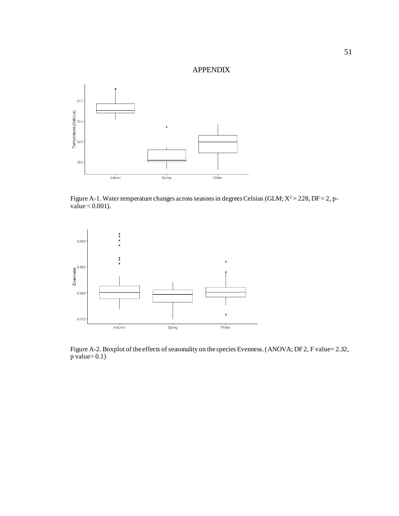# APPENDIX

<span id="page-59-0"></span>

Figure A-1. Water temperature changes across seasons in degrees Celsius (GLM;  $X^2 = 228$ , DF = 2, pvalue  $< 0.001$ ).



Figure A-2. Boxplot of the effects of seasonality on the species Evenness. (ANOVA; DF 2, F value= 2.32,  $p$  value $> 0.1$ )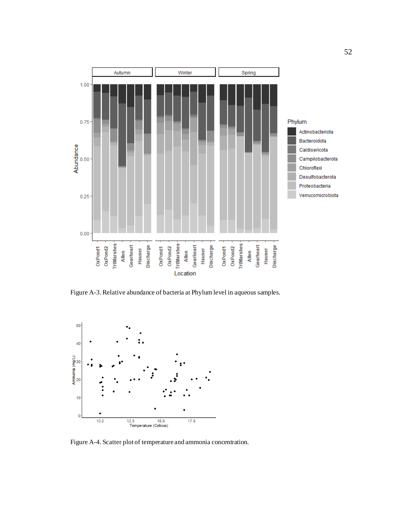

Figure A-3. Relative abundance of bacteria at Phylum level in aqueous samples.



Figure A-4. Scatter plot of temperature and ammonia concentration.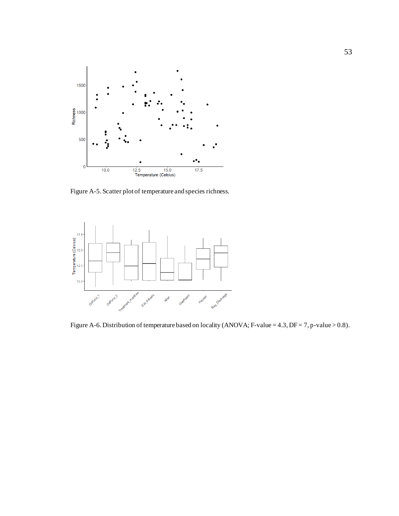

Figure A-5. Scatter plot of temperature and species richness.



Figure A-6. Distribution of temperature based on locality (ANOVA; F-value = 4.3, DF = 7, p-value > 0.8).